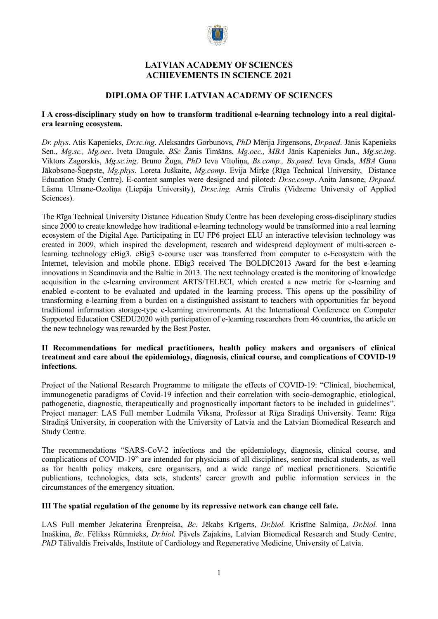

# **LATVIAN ACADEMY OF SCIENCES ACHIEVEMENTS IN SCIENCE 2021**

# **DIPLOMA OF THE LATVIAN ACADEMY OF SCIENCES**

### **I A cross-disciplinary study on how to transform traditional e-learning technology into a real digitalera learning ecosystem.**

*Dr. phys*. Atis Kapenieks, *Dr.sc.ing*. Aleksandrs Gorbunovs, *PhD* Mērija Jirgensons, *Dr.paed*. Jānis Kapenieks Sen., *Mg.sc., Mg.oec*. Iveta Daugule, *BSc* Žanis Timšāns, *Mg.oec., MBA* Jānis Kapenieks Jun., *Mg.sc.ing*. Viktors Zagorskis, *Mg.sc.ing*. Bruno Žuga, *PhD* Ieva Vītoliņa, *Bs.comp., Bs.paed*. Ieva Grada, *MBA* Guna Jākobsone-Šņepste, *Mg.phys*. Loreta Juškaite, *Mg.comp*. Evija Mirķe (Rīga Technical University, Distance Education Study Centre). E-content samples were designed and piloted: *Dr.sc.comp*. Anita Jansone, *Dr.paed.* Lāsma Ulmane-Ozoliņa (Liepāja University), *Dr.sc.ing.* Arnis Cīrulis (Vidzeme University of Applied Sciences).

The Rīga Technical University Distance Education Study Centre has been developing cross-disciplinary studies since 2000 to create knowledge how traditional e-learning technology would be transformed into a real learning ecosystem of the Digital Age. Participating in EU FP6 project ELU an interactive television technology was created in 2009, which inspired the development, research and widespread deployment of multi-screen elearning technology eBig3. eBig3 e-course user was transferred from computer to e-Ecosystem with the Internet, television and mobile phone. EBig3 received The BOLDIC2013 Award for the best e-learning innovations in Scandinavia and the Baltic in 2013. The next technology created is the monitoring of knowledge acquisition in the e-learning environment ARTS/TELECI, which created a new metric for e-learning and enabled e-content to be evaluated and updated in the learning process. This opens up the possibility of transforming e-learning from a burden on a distinguished assistant to teachers with opportunities far beyond traditional information storage-type e-learning environments. At the International Conference on Computer Supported Education CSEDU2020 with participation of e-learning researchers from 46 countries, the article on the new technology was rewarded by the Best Poster.

#### **II Recommendations for medical practitioners, health policy makers and organisers of clinical treatment and care about the epidemiology, diagnosis, clinical course, and complications of COVID-19 infections.**

Project of the National Research Programme to mitigate the effects of COVID-19: "Clinical, biochemical, immunogenetic paradigms of Covid-19 infection and their correlation with socio-demographic, etiological, pathogenetic, diagnostic, therapeutically and prognostically important factors to be included in guidelines". Project manager: LAS Full member Ludmila Vīksna, Professor at Rīga Stradiņš University. Team: Rīga Stradiņš University, in cooperation with the University of Latvia and the Latvian Biomedical Research and Study Centre.

The recommendations "SARS-CoV-2 infections and the epidemiology, diagnosis, clinical course, and complications of COVID-19" are intended for physicians of all disciplines, senior medical students, as well as for health policy makers, care organisers, and a wide range of medical practitioners. Scientific publications, technologies, data sets, students' career growth and public information services in the circumstances of the emergency situation.

# **III The spatial regulation of the genome by its repressive network can change cell fate.**

LAS Full member Jekaterina Ērenpreisa, *Bc.* Jēkabs Krīgerts, *Dr.biol.* Kristīne Salmiņa, *Dr.biol.* Inna Inaškina, *Bc.* Fēlikss Rūmnieks, *Dr.biol.* Pāvels Zajakins, Latvian Biomedical Research and Study Centre, *PhD* Tālivaldis Freivalds, Institute of Cardiology and Regenerative Medicine, University of Latvia.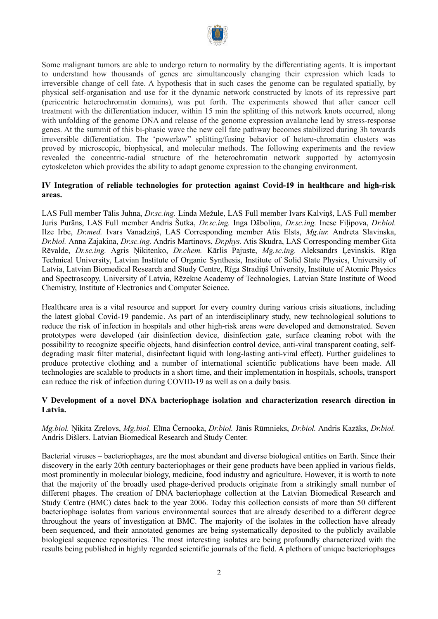

Some malignant tumors are able to undergo return to normality by the differentiating agents. It is important to understand how thousands of genes are simultaneously changing their expression which leads to irreversible change of cell fate. A hypothesis that in such cases the genome can be regulated spatially, by physical self-organisation and use for it the dynamic network constructed by knots of its repressive part (pericentric heterochromatin domains), was put forth. The experiments showed that after cancer cell treatment with the differentiation inducer, within 15 min the splitting of this network knots occurred, along with unfolding of the genome DNA and release of the genome expression avalanche lead by stress-response genes. At the summit of this bi-phasic wave the new cell fate pathway becomes stabilized during 3h towards irreversible differentiation. The 'powerlaw" splitting/fusing behavior of hetero-chromatin clusters was proved by microscopic, biophysical, and molecular methods. The following experiments and the review revealed the concentric-radial structure of the heterochromatin network supported by actomyosin cytoskeleton which provides the ability to adapt genome expression to the changing environment.

## **IV Integration of reliable technologies for protection against Covid-19 in healthcare and high-risk areas.**

LAS Full member Tālis Juhna, *Dr.sc.ing.* Linda Mežule, LAS Full member Ivars Kalviņš, LAS Full member Juris Purāns, LAS Full member Andris Šutka, *Dr.sc.ing.* Inga Dāboliņa, *Dr.sc.ing.* Inese Fiļipova, *Dr.biol.* Ilze Irbe, *Dr.med.* Ivars Vanadziņš, LAS Corresponding member Atis Elsts, *Mg.iur.* Andreta Slavinska, *Dr.biol.* Anna Zajakina, *Dr.sc.ing.* Andris Martinovs, *Dr.phys.* Atis Skudra, LAS Corresponding member Gita Rēvalde, *Dr.sc.ing.* Agris Ņikitenko, *Dr.chem.* Kārlis Pajuste, *Mg.sc.ing.* Aleksandrs Ļevinskis. Rīga Technical University, Latvian Institute of Organic Synthesis, Institute of Solid State Physics, University of Latvia, Latvian Biomedical Research and Study Centre, Rīga Stradiņš University, Institute of Atomic Physics and Spectroscopy, University of Latvia, Rēzekne Academy of Technologies, Latvian State Institute of Wood Chemistry, Institute of Electronics and Computer Science.

Healthcare area is a vital resource and support for every country during various crisis situations, including the latest global Covid-19 pandemic. As part of an interdisciplinary study, new technological solutions to reduce the risk of infection in hospitals and other high-risk areas were developed and demonstrated. Seven prototypes were developed (air disinfection device, disinfection gate, surface cleaning robot with the possibility to recognize specific objects, hand disinfection control device, anti-viral transparent coating, selfdegrading mask filter material, disinfectant liquid with long-lasting anti-viral effect). Further guidelines to produce protective clothing and a number of international scientific publications have been made. All technologies are scalable to products in a short time, and their implementation in hospitals, schools, transport can reduce the risk of infection during COVID-19 as well as on a daily basis.

## **V Development of a novel DNA bacteriophage isolation and characterization research direction in Latvia.**

#### *Mg.biol.* Ņikita Zrelovs, *Mg.biol.* Elīna Černooka, *Dr.biol.* Jānis Rūmnieks, *Dr.biol.* Andris Kazāks, *Dr.biol.* Andris Dišlers. Latvian Biomedical Research and Study Center.

Bacterial viruses – bacteriophages, are the most abundant and diverse biological entities on Earth. Since their discovery in the early 20th century bacteriophages or their gene products have been applied in various fields, most prominently in molecular biology, medicine, food industry and agriculture. However, it is worth to note that the majority of the broadly used phage-derived products originate from a strikingly small number of different phages. The creation of DNA bacteriophage collection at the Latvian Biomedical Research and Study Centre (BMC) dates back to the year 2006. Today this collection consists of more than 50 different bacteriophage isolates from various environmental sources that are already described to a different degree throughout the years of investigation at BMC. The majority of the isolates in the collection have already been sequenced, and their annotated genomes are being systematically deposited to the publicly available biological sequence repositories. The most interesting isolates are being profoundly characterized with the results being published in highly regarded scientific journals of the field. A plethora of unique bacteriophages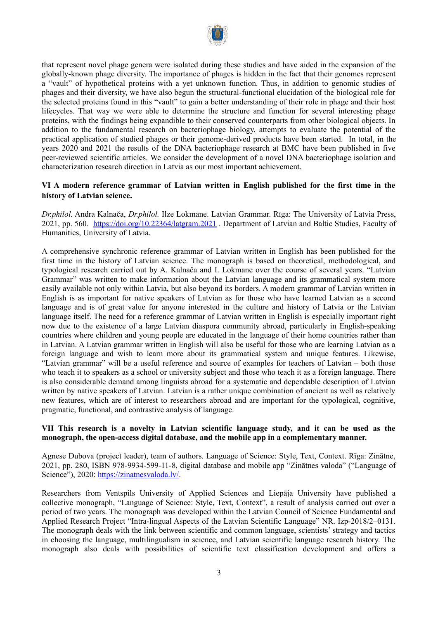

that represent novel phage genera were isolated during these studies and have aided in the expansion of the globally-known phage diversity. The importance of phages is hidden in the fact that their genomes represent a "vault" of hypothetical proteins with a yet unknown function. Thus, in addition to genomic studies of phages and their diversity, we have also begun the structural-functional elucidation of the biological role for the selected proteins found in this "vault" to gain a better understanding of their role in phage and their host lifecycles. That way we were able to determine the structure and function for several interesting phage proteins, with the findings being expandible to their conserved counterparts from other biological objects. In addition to the fundamental research on bacteriophage biology, attempts to evaluate the potential of the practical application of studied phages or their genome-derived products have been started. In total, in the years 2020 and 2021 the results of the DNA bacteriophage research at BMC have been published in five peer-reviewed scientific articles. We consider the development of a novel DNA bacteriophage isolation and characterization research direction in Latvia as our most important achievement.

## **VI A modern reference grammar of Latvian written in English published for the first time in the history of Latvian science.**

*Dr.philol.* Andra Kalnača, *Dr.philol.* Ilze Lokmane. Latvian Grammar. Rīga: The University of Latvia Press, 2021, pp. 560. <https://doi.org/10.22364/latgram.2021> . Department of Latvian and Baltic Studies, Faculty of Humanities, University of Latvia.

A comprehensive synchronic reference grammar of Latvian written in English has been published for the first time in the history of Latvian science. The monograph is based on theoretical, methodological, and typological research carried out by A. Kalnača and I. Lokmane over the course of several years. "Latvian Grammar" was written to make information about the Latvian language and its grammatical system more easily available not only within Latvia, but also beyond its borders. A modern grammar of Latvian written in English is as important for native speakers of Latvian as for those who have learned Latvian as a second language and is of great value for anyone interested in the culture and history of Latvia or the Latvian language itself. The need for a reference grammar of Latvian written in English is especially important right now due to the existence of a large Latvian diaspora community abroad, particularly in English-speaking countries where children and young people are educated in the language of their home countries rather than in Latvian. A Latvian grammar written in English will also be useful for those who are learning Latvian as a foreign language and wish to learn more about its grammatical system and unique features. Likewise, "Latvian grammar" will be a useful reference and source of examples for teachers of Latvian – both those who teach it to speakers as a school or university subject and those who teach it as a foreign language. There is also considerable demand among linguists abroad for a systematic and dependable description of Latvian written by native speakers of Latvian. Latvian is a rather unique combination of ancient as well as relatively new features, which are of interest to researchers abroad and are important for the typological, cognitive, pragmatic, functional, and contrastive analysis of language.

#### **VII This research is a novelty in Latvian scientific language study, and it can be used as the monograph, the open-access digital database, and the mobile app in a complementary manner.**

Agnese Dubova (project leader), team of authors. Language of Science: Style, Text, Context. Rīga: Zinātne, 2021, pp. 280, ISBN 978-9934-599-11-8, digital database and mobile app "Zinātnes valoda" ("Language of Science"), 2020: <https://zinatnesvaloda.lv/>.

Researchers from Ventspils University of Applied Sciences and Liepāja University have published a collective monograph, "Language of Science: Style, Text, Context", a result of analysis carried out over a period of two years. The monograph was developed within the Latvian Council of Science Fundamental and Applied Research Project "Intra-lingual Aspects of the Latvian Scientific Language" NR. Izp-2018/2–0131. The monograph deals with the link between scientific and common language, scientists' strategy and tactics in choosing the language, multilingualism in science, and Latvian scientific language research history. The monograph also deals with possibilities of scientific text classification development and offers a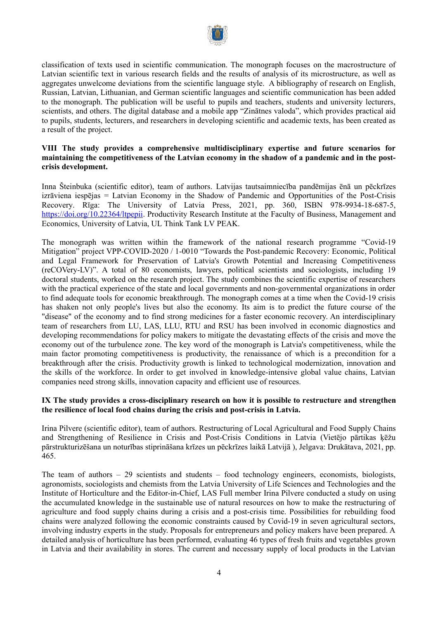

classification of texts used in scientific communication. The monograph focuses on the macrostructure of Latvian scientific text in various research fields and the results of analysis of its microstructure, as well as aggregates unwelcome deviations from the scientific language style. A bibliography of research on English, Russian, Latvian, Lithuanian, and German scientific languages and scientific communication has been added to the monograph. The publication will be useful to pupils and teachers, students and university lecturers, scientists, and others. The digital database and a mobile app "Zinātnes valoda", which provides practical aid to pupils, students, lecturers, and researchers in developing scientific and academic texts, has been created as a result of the project.

### **VIII The study provides a comprehensive multidisciplinary expertise and future scenarios for maintaining the competitiveness of the Latvian economy in the shadow of a pandemic and in the postcrisis development.**

Inna Šteinbuka (scientific editor), team of authors. Latvijas tautsaimniecība pandēmijas ēnā un pēckrīzes izrāviena iespējas = Latvian Economy in the Shadow of Pandemic and Opportunities of the Post-Crisis Recovery. Rīga: The University of Latvia Press, 2021, pp. 360, ISBN 978-9934-18-687-5, <https://doi.org/10.22364/ltpepii>. Productivity Research Institute at the Faculty of Business, Management and Economics, University of Latvia, UL Think Tank LV PEAK.

The monograph was written within the framework of the national research programme "Covid-19 Mitigation" project VPP-COVID-2020 / 1-0010 "Towards the Post-pandemic Recovery: Economic, Political and Legal Framework for Preservation of Latvia's Growth Potential and Increasing Competitiveness (reCOVery-LV)". A total of 80 economists, lawyers, political scientists and sociologists, including 19 doctoral students, worked on the research project. The study combines the scientific expertise of researchers with the practical experience of the state and local governments and non-governmental organizations in order to find adequate tools for economic breakthrough. The monograph comes at a time when the Covid-19 crisis has shaken not only people's lives but also the economy. Its aim is to predict the future course of the "disease" of the economy and to find strong medicines for a faster economic recovery. An interdisciplinary team of researchers from LU, LAS, LLU, RTU and RSU has been involved in economic diagnostics and developing recommendations for policy makers to mitigate the devastating effects of the crisis and move the economy out of the turbulence zone. The key word of the monograph is Latvia's competitiveness, while the main factor promoting competitiveness is productivity, the renaissance of which is a precondition for a breakthrough after the crisis. Productivity growth is linked to technological modernization, innovation and the skills of the workforce. In order to get involved in knowledge-intensive global value chains, Latvian companies need strong skills, innovation capacity and efficient use of resources.

#### **IX The study provides a cross-disciplinary research on how it is possible to restructure and strengthen the resilience of local food chains during the crisis and post-crisis in Latvia.**

Irina Pilvere (scientific editor), team of authors. Restructuring of Local Agricultural and Food Supply Chains and Strengthening of Resilience in Crisis and Post-Crisis Conditions in Latvia (Vietējo pārtikas ķēžu pārstrukturizēšana un noturības stiprināšana krīzes un pēckrīzes laikā Latvijā ), Jelgava: Drukātava, 2021, pp. 465.

The team of authors – 29 scientists and students – food technology engineers, economists, biologists, agronomists, sociologists and chemists from the Latvia University of Life Sciences and Technologies and the Institute of Horticulture and the Editor-in-Chief, LAS Full member Irina Pilvere conducted a study on using the accumulated knowledge in the sustainable use of natural resources on how to make the restructuring of agriculture and food supply chains during a crisis and a post-crisis time. Possibilities for rebuilding food chains were analyzed following the economic constraints caused by Covid-19 in seven agricultural sectors, involving industry experts in the study. Proposals for entrepreneurs and policy makers have been prepared. A detailed analysis of horticulture has been performed, evaluating 46 types of fresh fruits and vegetables grown in Latvia and their availability in stores. The current and necessary supply of local products in the Latvian